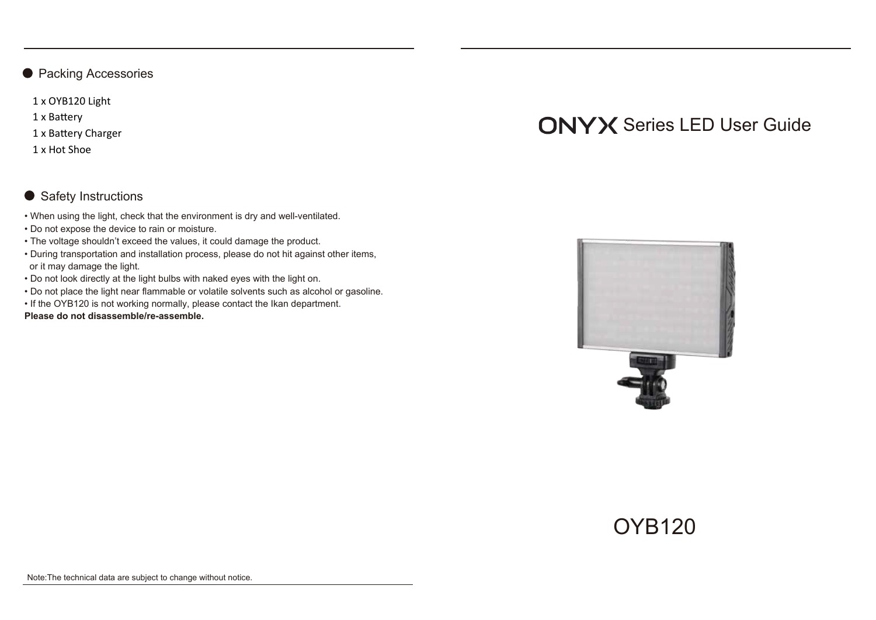● Packing Accessories

1 x OYB120 Light

1 x Battery

1 x Battery Charger

1 x Hot Shoe

# ● Safety Instructions

- When using the light, check that the environment is dry and well-ventilated.
- Do not expose the device to rain or moisture.
- The voltage shouldn't exceed the values, it could damage the product.
- During transportation and installation process, please do not hit against other items, or it may damage the light.
- Do not look directly at the light bulbs with naked eyes with the light on.
- Do not place the light near flammable or volatile solvents such as alcohol or gasoline.
- If the OYB120 is not working normally, please contact the Ikan department.

**Please do not disassemble/re-assemble.**





# OYB120